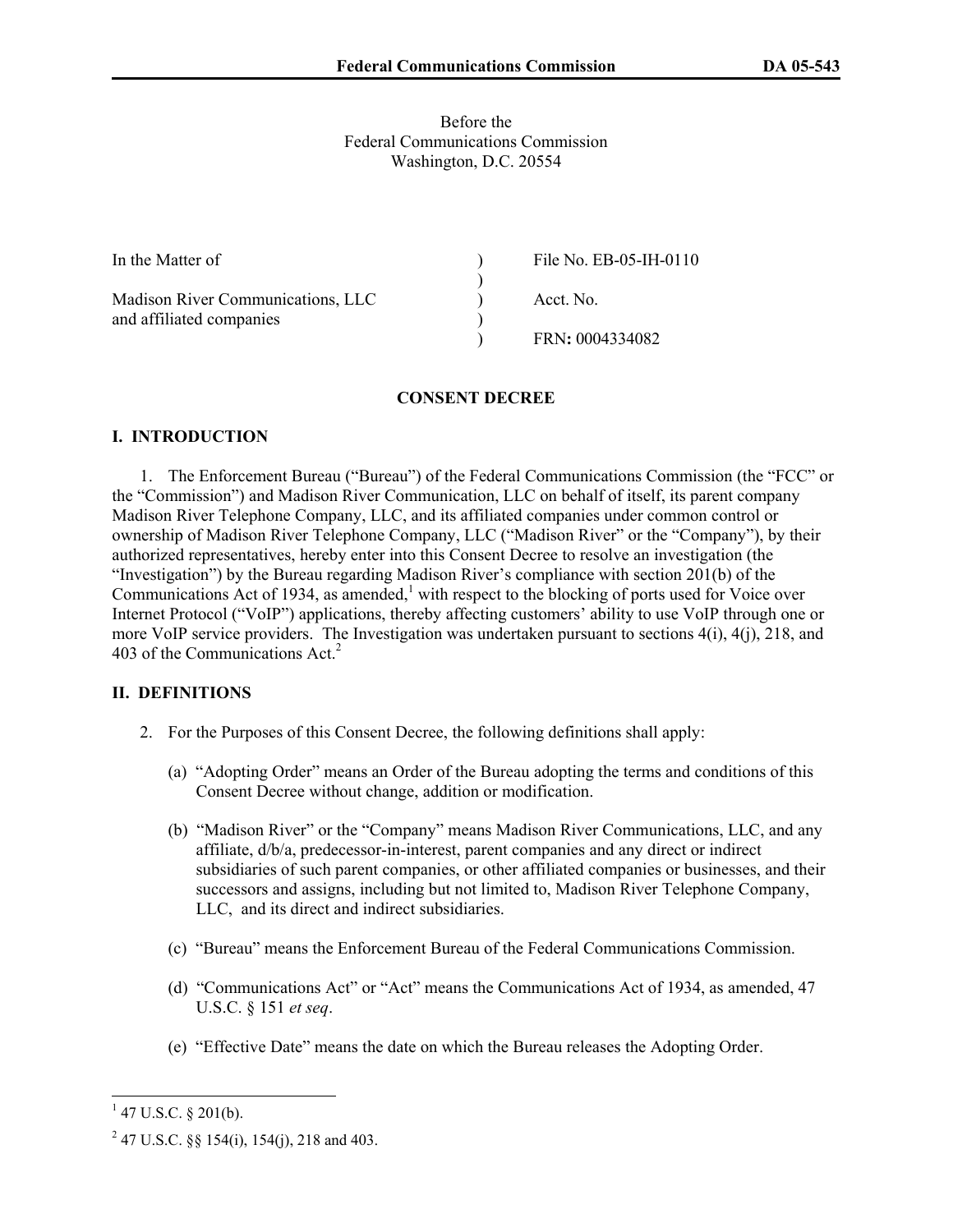### Before the Federal Communications Commission Washington, D.C. 20554

| In the Matter of                  | File No. $EB-05-H-0110$ |
|-----------------------------------|-------------------------|
|                                   |                         |
| Madison River Communications, LLC | Acct. No.               |
| and affiliated companies          |                         |
|                                   | FRN: 0004334082         |

### **CONSENT DECREE**

# **I. INTRODUCTION**

1. The Enforcement Bureau ("Bureau") of the Federal Communications Commission (the "FCC" or the "Commission") and Madison River Communication, LLC on behalf of itself, its parent company Madison River Telephone Company, LLC, and its affiliated companies under common control or ownership of Madison River Telephone Company, LLC ("Madison River" or the "Company"), by their authorized representatives, hereby enter into this Consent Decree to resolve an investigation (the "Investigation") by the Bureau regarding Madison River's compliance with section 201(b) of the Communications Act of 1934, as amended, $<sup>1</sup>$  with respect to the blocking of ports used for Voice over</sup> Internet Protocol ("VoIP") applications, thereby affecting customers' ability to use VoIP through one or more VoIP service providers. The Investigation was undertaken pursuant to sections 4(i), 4(j), 218, and 403 of the Communications Act<sup>2</sup>

# **II. DEFINITIONS**

- 2. For the Purposes of this Consent Decree, the following definitions shall apply:
	- (a) "Adopting Order" means an Order of the Bureau adopting the terms and conditions of this Consent Decree without change, addition or modification.
	- (b) "Madison River" or the "Company" means Madison River Communications, LLC, and any affiliate, d/b/a, predecessor-in-interest, parent companies and any direct or indirect subsidiaries of such parent companies, or other affiliated companies or businesses, and their successors and assigns, including but not limited to, Madison River Telephone Company, LLC, and its direct and indirect subsidiaries.
	- (c) "Bureau" means the Enforcement Bureau of the Federal Communications Commission.
	- (d) "Communications Act" or "Act" means the Communications Act of 1934, as amended, 47 U.S.C. § 151 *et seq*.
	- (e) "Effective Date" means the date on which the Bureau releases the Adopting Order.

 $1\overline{47 \text{ U.S.C. } }$  \$ 201(b).

<sup>&</sup>lt;sup>2</sup> 47 U.S.C. §§ 154(i), 154(j), 218 and 403.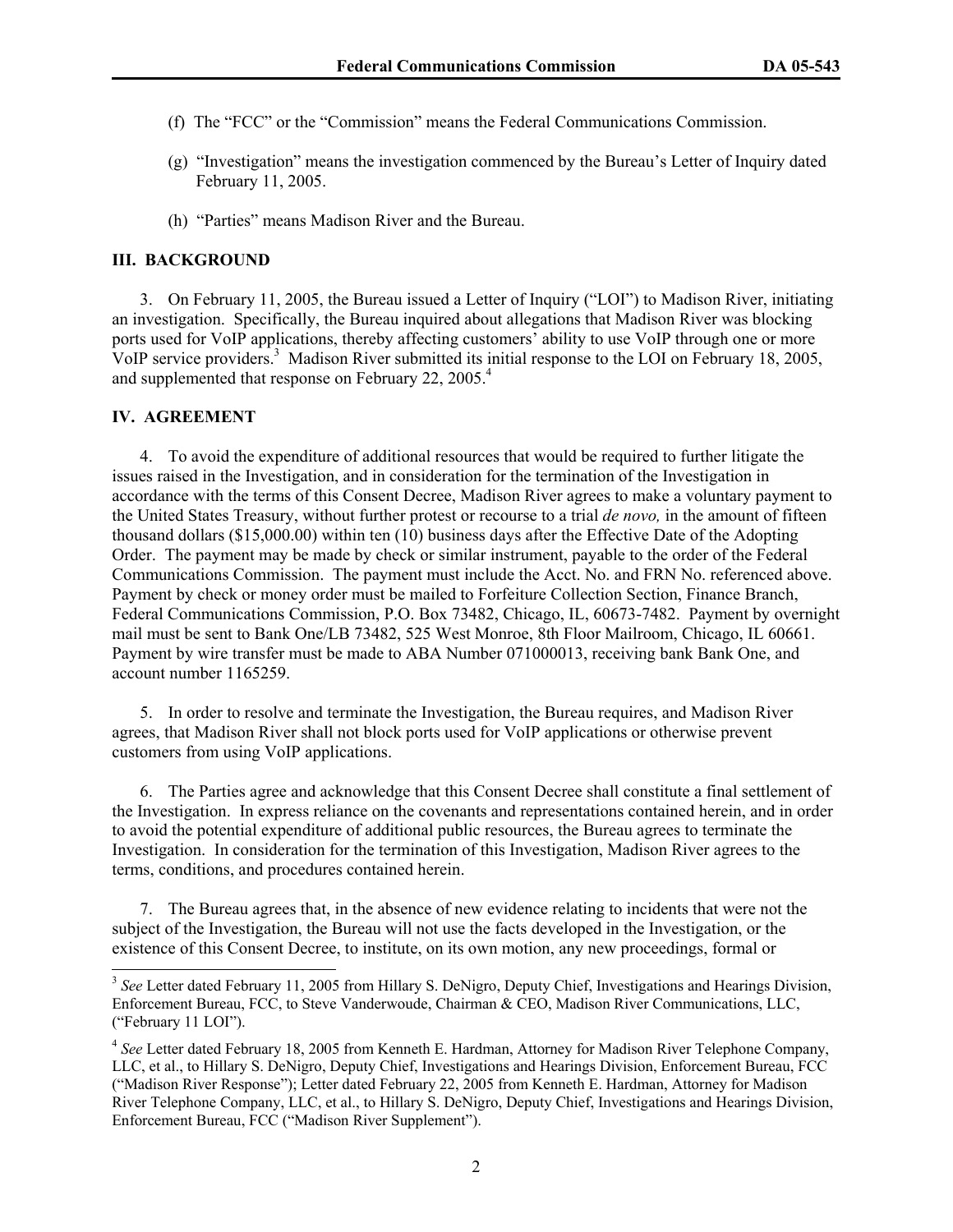- (f) The "FCC" or the "Commission" means the Federal Communications Commission.
- (g) "Investigation" means the investigation commenced by the Bureau's Letter of Inquiry dated February 11, 2005.
- (h) "Parties" means Madison River and the Bureau.

#### **III. BACKGROUND**

3. On February 11, 2005, the Bureau issued a Letter of Inquiry ("LOI") to Madison River, initiating an investigation. Specifically, the Bureau inquired about allegations that Madison River was blocking ports used for VoIP applications, thereby affecting customers' ability to use VoIP through one or more VoIP service providers.<sup>3</sup> Madison River submitted its initial response to the LOI on February 18, 2005, and supplemented that response on February 22, 2005.<sup>4</sup>

#### **IV. AGREEMENT**

 $\overline{\phantom{a}}$ 

4. To avoid the expenditure of additional resources that would be required to further litigate the issues raised in the Investigation, and in consideration for the termination of the Investigation in accordance with the terms of this Consent Decree, Madison River agrees to make a voluntary payment to the United States Treasury, without further protest or recourse to a trial *de novo,* in the amount of fifteen thousand dollars (\$15,000.00) within ten (10) business days after the Effective Date of the Adopting Order. The payment may be made by check or similar instrument, payable to the order of the Federal Communications Commission. The payment must include the Acct. No. and FRN No. referenced above. Payment by check or money order must be mailed to Forfeiture Collection Section, Finance Branch, Federal Communications Commission, P.O. Box 73482, Chicago, IL, 60673-7482.Payment by overnight mail must be sent to Bank One/LB 73482, 525 West Monroe, 8th Floor Mailroom, Chicago, IL 60661. Payment by wire transfer must be made to ABA Number 071000013, receiving bank Bank One, and account number 1165259.

5. In order to resolve and terminate the Investigation, the Bureau requires, and Madison River agrees, that Madison River shall not block ports used for VoIP applications or otherwise prevent customers from using VoIP applications.

6. The Parties agree and acknowledge that this Consent Decree shall constitute a final settlement of the Investigation. In express reliance on the covenants and representations contained herein, and in order to avoid the potential expenditure of additional public resources, the Bureau agrees to terminate the Investigation. In consideration for the termination of this Investigation, Madison River agrees to the terms, conditions, and procedures contained herein.

7. The Bureau agrees that, in the absence of new evidence relating to incidents that were not the subject of the Investigation, the Bureau will not use the facts developed in the Investigation, or the existence of this Consent Decree, to institute, on its own motion, any new proceedings, formal or

<sup>&</sup>lt;sup>3</sup> See Letter dated February 11, 2005 from Hillary S. DeNigro, Deputy Chief, Investigations and Hearings Division, Enforcement Bureau, FCC, to Steve Vanderwoude, Chairman & CEO, Madison River Communications, LLC, ("February 11 LOI").

<sup>&</sup>lt;sup>4</sup> See Letter dated February 18, 2005 from Kenneth E. Hardman, Attorney for Madison River Telephone Company, LLC, et al., to Hillary S. DeNigro, Deputy Chief, Investigations and Hearings Division, Enforcement Bureau, FCC ("Madison River Response"); Letter dated February 22, 2005 from Kenneth E. Hardman, Attorney for Madison River Telephone Company, LLC, et al., to Hillary S. DeNigro, Deputy Chief, Investigations and Hearings Division, Enforcement Bureau, FCC ("Madison River Supplement").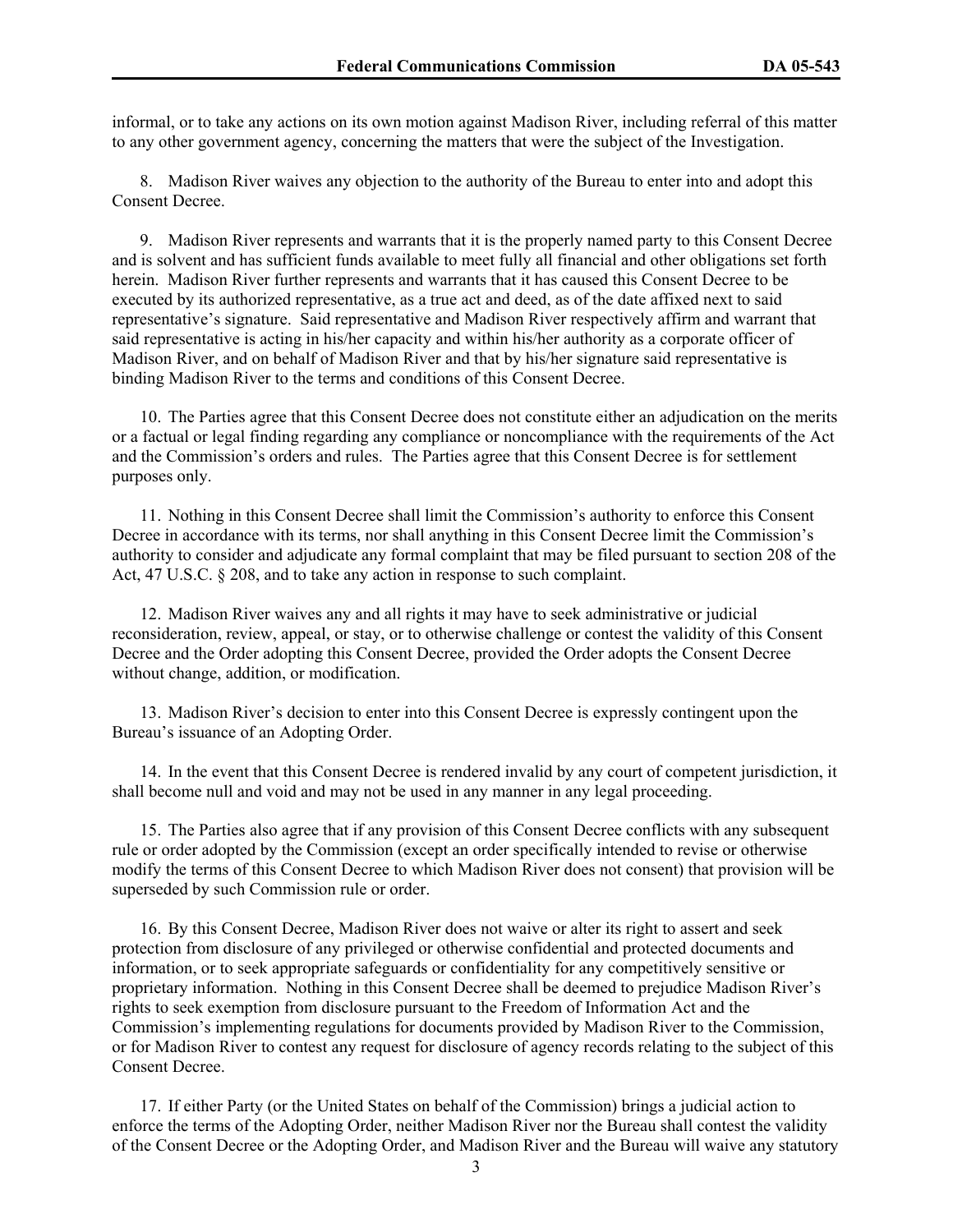informal, or to take any actions on its own motion against Madison River, including referral of this matter to any other government agency, concerning the matters that were the subject of the Investigation.

8. Madison River waives any objection to the authority of the Bureau to enter into and adopt this Consent Decree.

9. Madison River represents and warrants that it is the properly named party to this Consent Decree and is solvent and has sufficient funds available to meet fully all financial and other obligations set forth herein. Madison River further represents and warrants that it has caused this Consent Decree to be executed by its authorized representative, as a true act and deed, as of the date affixed next to said representative's signature. Said representative and Madison River respectively affirm and warrant that said representative is acting in his/her capacity and within his/her authority as a corporate officer of Madison River, and on behalf of Madison River and that by his/her signature said representative is binding Madison River to the terms and conditions of this Consent Decree.

10. The Parties agree that this Consent Decree does not constitute either an adjudication on the merits or a factual or legal finding regarding any compliance or noncompliance with the requirements of the Act and the Commission's orders and rules. The Parties agree that this Consent Decree is for settlement purposes only.

11. Nothing in this Consent Decree shall limit the Commission's authority to enforce this Consent Decree in accordance with its terms, nor shall anything in this Consent Decree limit the Commission's authority to consider and adjudicate any formal complaint that may be filed pursuant to section 208 of the Act, 47 U.S.C. § 208, and to take any action in response to such complaint.

12. Madison River waives any and all rights it may have to seek administrative or judicial reconsideration, review, appeal, or stay, or to otherwise challenge or contest the validity of this Consent Decree and the Order adopting this Consent Decree, provided the Order adopts the Consent Decree without change, addition, or modification.

13. Madison River's decision to enter into this Consent Decree is expressly contingent upon the Bureau's issuance of an Adopting Order.

14. In the event that this Consent Decree is rendered invalid by any court of competent jurisdiction, it shall become null and void and may not be used in any manner in any legal proceeding.

15. The Parties also agree that if any provision of this Consent Decree conflicts with any subsequent rule or order adopted by the Commission (except an order specifically intended to revise or otherwise modify the terms of this Consent Decree to which Madison River does not consent) that provision will be superseded by such Commission rule or order.

16. By this Consent Decree, Madison River does not waive or alter its right to assert and seek protection from disclosure of any privileged or otherwise confidential and protected documents and information, or to seek appropriate safeguards or confidentiality for any competitively sensitive or proprietary information. Nothing in this Consent Decree shall be deemed to prejudice Madison River's rights to seek exemption from disclosure pursuant to the Freedom of Information Act and the Commission's implementing regulations for documents provided by Madison River to the Commission, or for Madison River to contest any request for disclosure of agency records relating to the subject of this Consent Decree.

17. If either Party (or the United States on behalf of the Commission) brings a judicial action to enforce the terms of the Adopting Order, neither Madison River nor the Bureau shall contest the validity of the Consent Decree or the Adopting Order, and Madison River and the Bureau will waive any statutory